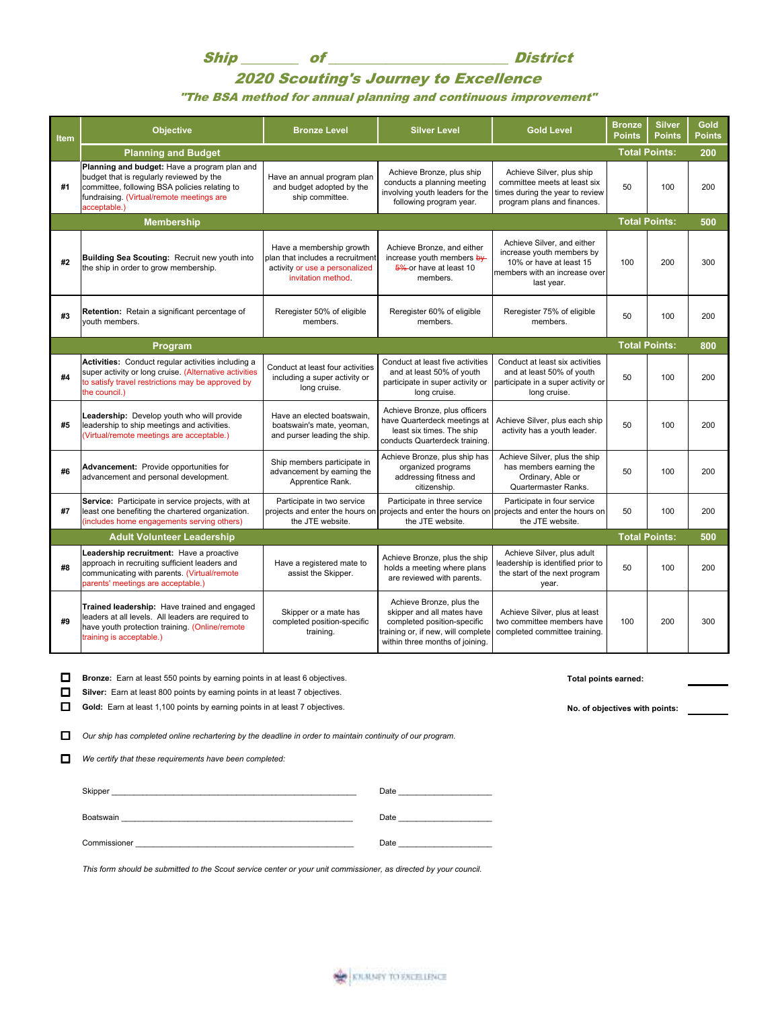Ship of District

## 2020 Scouting's Journey to Excellence

## "The BSA method for annual planning and continuous improvement"

| <b>Item</b> | <b>Objective</b>                                                                                                                                                                                       | <b>Bronze Level</b>                                                                                                  | <b>Silver Level</b>                                                                                                                                            | <b>Gold Level</b>                                                                                                                 | <b>Bronze</b><br><b>Points</b> | <b>Silver</b><br>Points | Gold<br><b>Points</b> |
|-------------|--------------------------------------------------------------------------------------------------------------------------------------------------------------------------------------------------------|----------------------------------------------------------------------------------------------------------------------|----------------------------------------------------------------------------------------------------------------------------------------------------------------|-----------------------------------------------------------------------------------------------------------------------------------|--------------------------------|-------------------------|-----------------------|
|             | <b>Planning and Budget</b>                                                                                                                                                                             |                                                                                                                      |                                                                                                                                                                |                                                                                                                                   |                                |                         | 200                   |
| #1          | Planning and budget: Have a program plan and<br>budget that is regularly reviewed by the<br>committee, following BSA policies relating to<br>fundraising. (Virtual/remote meetings are<br>acceptable.) | Have an annual program plan<br>and budget adopted by the<br>ship committee.                                          | Achieve Bronze, plus ship<br>conducts a planning meeting<br>involving youth leaders for the<br>following program year.                                         | Achieve Silver, plus ship<br>committee meets at least six<br>times during the year to review<br>program plans and finances.       | 50                             | 100                     | 200                   |
|             | <b>Membership</b>                                                                                                                                                                                      |                                                                                                                      |                                                                                                                                                                |                                                                                                                                   | <b>Total Points:</b>           |                         | 500                   |
| #2          | Building Sea Scouting: Recruit new youth into<br>the ship in order to grow membership.                                                                                                                 | Have a membership growth<br>plan that includes a recruitment<br>activity or use a personalized<br>invitation method. | Achieve Bronze, and either<br>increase youth members by<br>5% or have at least 10<br>members.                                                                  | Achieve Silver, and either<br>increase youth members by<br>10% or have at least 15<br>members with an increase over<br>last year. | 100                            | 200                     | 300                   |
| #3          | Retention: Retain a significant percentage of<br>vouth members.                                                                                                                                        | Reregister 50% of eligible<br>members.                                                                               | Reregister 60% of eligible<br>members.                                                                                                                         | Reregister 75% of eligible<br>members.                                                                                            | 50                             | 100                     | 200                   |
|             | Program                                                                                                                                                                                                |                                                                                                                      |                                                                                                                                                                |                                                                                                                                   | <b>Total Points:</b>           |                         | 800                   |
| #4          | Activities: Conduct regular activities including a<br>super activity or long cruise. (Alternative activities<br>to satisfy travel restrictions may be approved by<br>the council.)                     | Conduct at least four activities<br>including a super activity or<br>long cruise.                                    | Conduct at least five activities<br>and at least 50% of youth<br>participate in super activity or<br>long cruise.                                              | Conduct at least six activities<br>and at least 50% of youth<br>participate in a super activity or<br>long cruise.                | 50                             | 100                     | 200                   |
| #5          | Leadership: Develop youth who will provide<br>leadership to ship meetings and activities.<br>(Virtual/remote meetings are acceptable.)                                                                 | Have an elected boatswain,<br>boatswain's mate, yeoman,<br>and purser leading the ship.                              | Achieve Bronze, plus officers<br>have Quarterdeck meetings at<br>least six times. The ship<br>conducts Quarterdeck training.                                   | Achieve Silver, plus each ship<br>activity has a youth leader.                                                                    | 50                             | 100                     | 200                   |
| #6          | Advancement: Provide opportunities for<br>advancement and personal development.                                                                                                                        | Ship members participate in<br>advancement by earning the<br>Apprentice Rank.                                        | Achieve Bronze, plus ship has<br>organized programs<br>addressing fitness and<br>citizenship.                                                                  | Achieve Silver, plus the ship<br>has members earning the<br>Ordinary, Able or<br>Quartermaster Ranks.                             | 50                             | 100                     | 200                   |
| #7          | Service: Participate in service projects, with at<br>least one benefiting the chartered organization.<br>(includes home engagements serving others)                                                    | Participate in two service<br>the JTE website.                                                                       | Participate in three service<br>projects and enter the hours on projects and enter the hours on projects and enter the hours on<br>the JTE website.            | Participate in four service<br>the JTE website.                                                                                   | 50                             | 100                     | 200                   |
|             | <b>Adult Volunteer Leadership</b>                                                                                                                                                                      |                                                                                                                      |                                                                                                                                                                |                                                                                                                                   | <b>Total Points:</b>           |                         | 500                   |
| #8          | Leadership recruitment: Have a proactive<br>approach in recruiting sufficient leaders and<br>communicating with parents. (Virtual/remote<br>parents' meetings are acceptable.)                         | Have a registered mate to<br>assist the Skipper.                                                                     | Achieve Bronze, plus the ship<br>holds a meeting where plans<br>are reviewed with parents.                                                                     | Achieve Silver, plus adult<br>leadership is identified prior to<br>the start of the next program<br>year.                         | 50                             | 100                     | 200                   |
| #9          | Trained leadership: Have trained and engaged<br>leaders at all levels. All leaders are required to<br>have youth protection training. (Online/remote<br>training is acceptable.)                       | Skipper or a mate has<br>completed position-specific<br>training.                                                    | Achieve Bronze, plus the<br>skipper and all mates have<br>completed position-specific<br>training or, if new, will complete<br>within three months of joining. | Achieve Silver, plus at least<br>two committee members have<br>completed committee training.                                      | 100                            | 200                     | 300                   |

**D** Bronze: Earn at least 550 points by earning points in at least 6 objectives. **The act of the COV Total points earned:** 

**Silver:** Earn at least 800 points by earning points in at least 7 objectives.

Gold: Earn at least 1,100 points by earning points in at least 7 objectives.<br> **No. of objectives with points:** 

Our ship has completed online rechartering by the deadline in order to maintain continuity of our program.

 $\Box$  We certify that these requirements have been completed:

| Skipper      | Date |
|--------------|------|
| Boatswain    | Date |
| Commissioner | Date |

*This form should be submitted to the Scout service center or your unit commissioner, as directed by your council.*